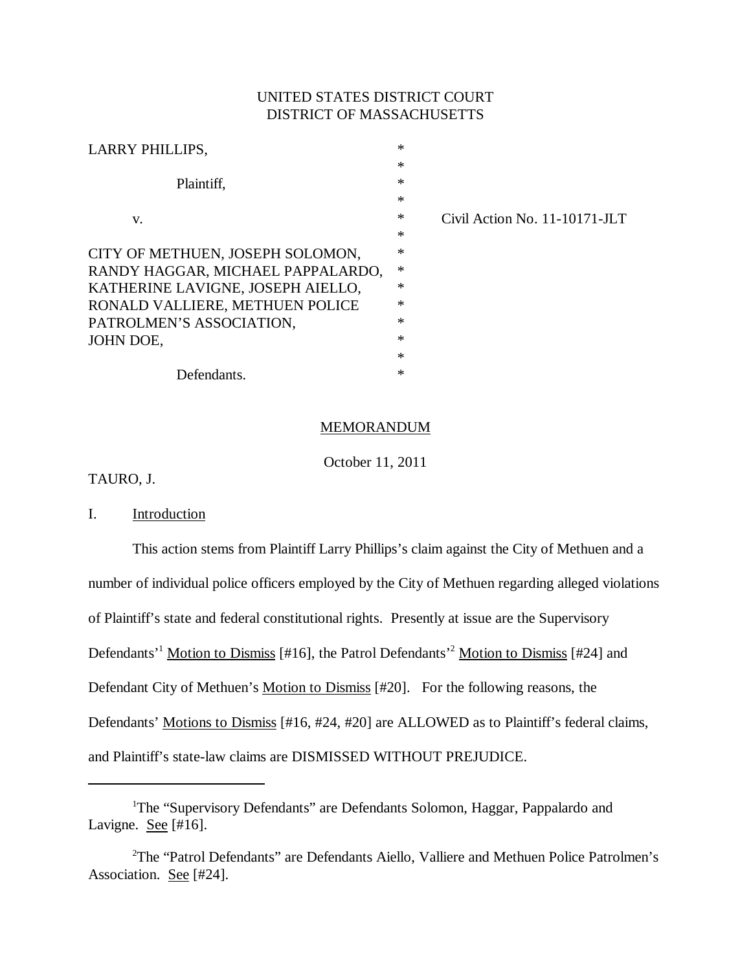## UNITED STATES DISTRICT COURT DISTRICT OF MASSACHUSETTS

| LARRY PHILLIPS,                   | $\ast$ |                               |
|-----------------------------------|--------|-------------------------------|
|                                   | *      |                               |
| Plaintiff,                        | $\ast$ |                               |
|                                   | $\ast$ |                               |
| V.                                | $\ast$ | Civil Action No. 11-10171-JLT |
|                                   | $\ast$ |                               |
| CITY OF METHUEN, JOSEPH SOLOMON,  | $\ast$ |                               |
| RANDY HAGGAR, MICHAEL PAPPALARDO, | $\ast$ |                               |
| KATHERINE LAVIGNE, JOSEPH AIELLO, | $\ast$ |                               |
| RONALD VALLIERE, METHUEN POLICE   | *      |                               |
| PATROLMEN'S ASSOCIATION,          | $\ast$ |                               |
| JOHN DOE,                         | $\ast$ |                               |
|                                   | *      |                               |
| Defendants.                       | $\ast$ |                               |

### MEMORANDUM

October 11, 2011

TAURO, J.

I. Introduction

This action stems from Plaintiff Larry Phillips's claim against the City of Methuen and a number of individual police officers employed by the City of Methuen regarding alleged violations of Plaintiff's state and federal constitutional rights. Presently at issue are the Supervisory Defendants<sup>'1</sup> Motion to Dismiss [#16], the Patrol Defendants<sup>'2</sup> Motion to Dismiss [#24] and Defendant City of Methuen's Motion to Dismiss [#20]. For the following reasons, the Defendants' Motions to Dismiss [#16, #24, #20] are ALLOWED as to Plaintiff's federal claims, and Plaintiff's state-law claims are DISMISSED WITHOUT PREJUDICE.

<sup>&</sup>lt;sup>1</sup>The "Supervisory Defendants" are Defendants Solomon, Haggar, Pappalardo and Lavigne. See  $[#16]$ .

<sup>&</sup>lt;sup>2</sup>The "Patrol Defendants" are Defendants Aiello, Valliere and Methuen Police Patrolmen's Association. See [#24].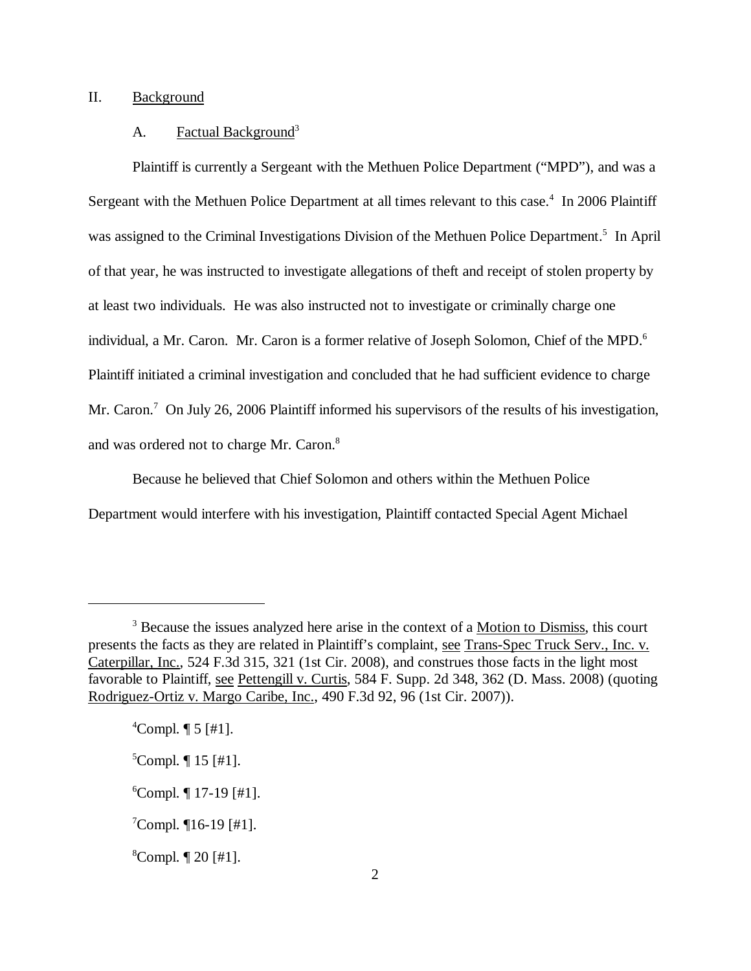### II. Background

#### A. Factual Background<sup>3</sup>

Plaintiff is currently a Sergeant with the Methuen Police Department ("MPD"), and was a Sergeant with the Methuen Police Department at all times relevant to this case.<sup>4</sup> In 2006 Plaintiff was assigned to the Criminal Investigations Division of the Methuen Police Department.<sup>5</sup> In April of that year, he was instructed to investigate allegations of theft and receipt of stolen property by at least two individuals. He was also instructed not to investigate or criminally charge one individual, a Mr. Caron. Mr. Caron is a former relative of Joseph Solomon, Chief of the MPD.<sup>6</sup> Plaintiff initiated a criminal investigation and concluded that he had sufficient evidence to charge Mr. Caron.<sup>7</sup> On July 26, 2006 Plaintiff informed his supervisors of the results of his investigation, and was ordered not to charge Mr. Caron.8

Because he believed that Chief Solomon and others within the Methuen Police Department would interfere with his investigation, Plaintiff contacted Special Agent Michael

<sup>&</sup>lt;sup>3</sup> Because the issues analyzed here arise in the context of a <u>Motion to Dismiss</u>, this court presents the facts as they are related in Plaintiff's complaint, see Trans-Spec Truck Serv., Inc. v. Caterpillar, Inc., 524 F.3d 315, 321 (1st Cir. 2008), and construes those facts in the light most favorable to Plaintiff, see Pettengill v. Curtis, 584 F. Supp. 2d 348, 362 (D. Mass. 2008) (quoting Rodriguez-Ortiz v. Margo Caribe, Inc., 490 F.3d 92, 96 (1st Cir. 2007)).

 $^{4}$ Compl.  $\P$  5 [#1].

 ${}^5$ Compl.  $\P$  15 [#1].

<sup>6</sup> Compl. ¶ 17-19 [#1].

 $\textsuperscript{7}$ Compl.  $\P$ 16-19 [#1].

 $^8$ Compl.  $\P$  20 [#1].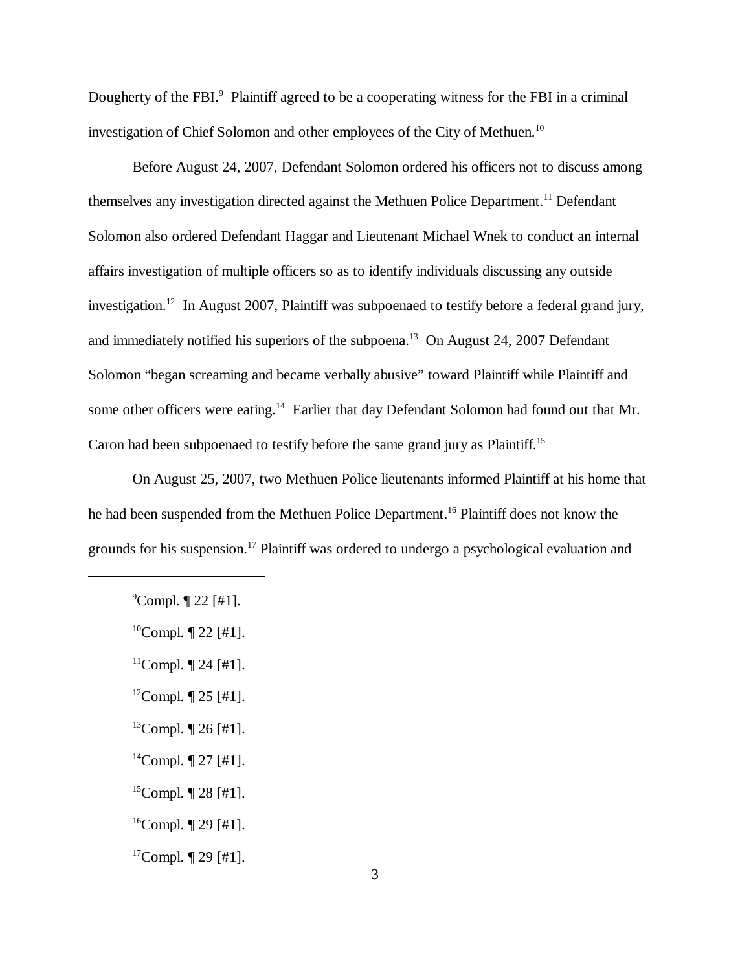Dougherty of the FBI.<sup>9</sup> Plaintiff agreed to be a cooperating witness for the FBI in a criminal investigation of Chief Solomon and other employees of the City of Methuen.<sup>10</sup>

Before August 24, 2007, Defendant Solomon ordered his officers not to discuss among themselves any investigation directed against the Methuen Police Department.<sup>11</sup> Defendant Solomon also ordered Defendant Haggar and Lieutenant Michael Wnek to conduct an internal affairs investigation of multiple officers so as to identify individuals discussing any outside investigation.12 In August 2007, Plaintiff was subpoenaed to testify before a federal grand jury, and immediately notified his superiors of the subpoena.<sup>13</sup> On August 24, 2007 Defendant Solomon "began screaming and became verbally abusive" toward Plaintiff while Plaintiff and some other officers were eating.<sup>14</sup> Earlier that day Defendant Solomon had found out that Mr. Caron had been subpoenaed to testify before the same grand jury as Plaintiff.15

On August 25, 2007, two Methuen Police lieutenants informed Plaintiff at his home that he had been suspended from the Methuen Police Department.<sup>16</sup> Plaintiff does not know the grounds for his suspension.<sup>17</sup> Plaintiff was ordered to undergo a psychological evaluation and

- <sup>12</sup>Compl.  $\P$  25 [#1].
- $13$ Compl.  $\P$  26 [#1].
- <sup>14</sup>Compl.  $\P$  27 [#1].
- <sup>15</sup>Compl.  $\P$  28 [#1].
- <sup>16</sup>Compl.  $\P$  29 [#1].
- $17$ Compl.  $\P$  29 [#1].

 $^9$ Compl.  $\P$  22 [#1].

 $10$ Compl.  $\P$  22 [#1].

 $11$ Compl.  $\P$  24 [#1].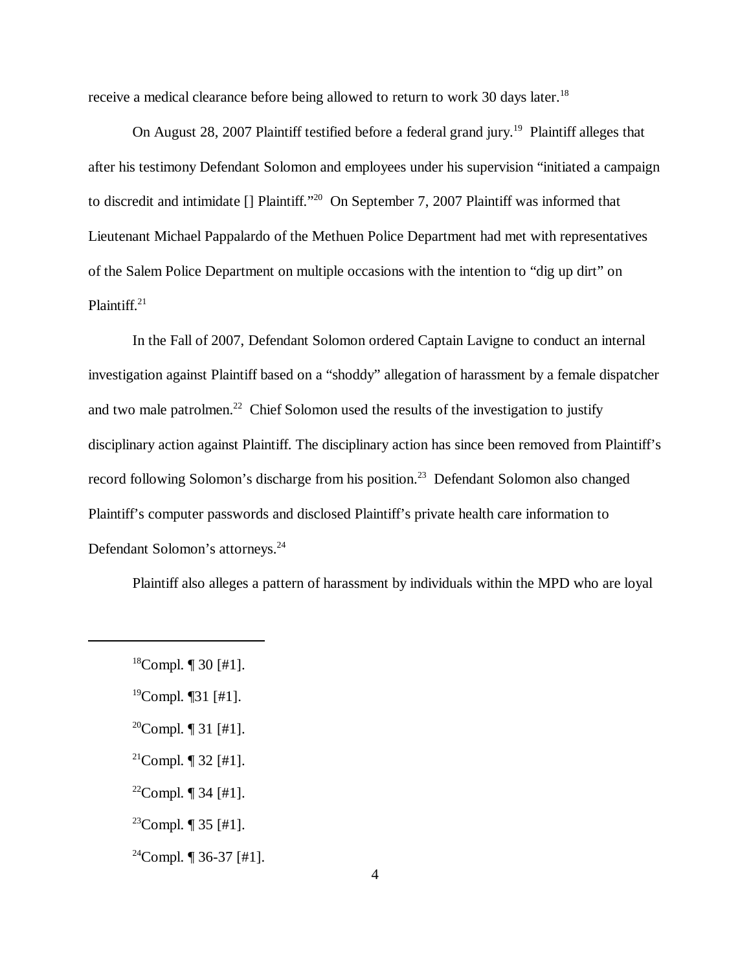receive a medical clearance before being allowed to return to work 30 days later.<sup>18</sup>

On August 28, 2007 Plaintiff testified before a federal grand jury.<sup>19</sup> Plaintiff alleges that after his testimony Defendant Solomon and employees under his supervision "initiated a campaign to discredit and intimidate [] Plaintiff."20 On September 7, 2007 Plaintiff was informed that Lieutenant Michael Pappalardo of the Methuen Police Department had met with representatives of the Salem Police Department on multiple occasions with the intention to "dig up dirt" on Plaintiff.<sup>21</sup>

In the Fall of 2007, Defendant Solomon ordered Captain Lavigne to conduct an internal investigation against Plaintiff based on a "shoddy" allegation of harassment by a female dispatcher and two male patrolmen.<sup>22</sup> Chief Solomon used the results of the investigation to justify disciplinary action against Plaintiff. The disciplinary action has since been removed from Plaintiff's record following Solomon's discharge from his position.<sup>23</sup> Defendant Solomon also changed Plaintiff's computer passwords and disclosed Plaintiff's private health care information to Defendant Solomon's attorneys.<sup>24</sup>

Plaintiff also alleges a pattern of harassment by individuals within the MPD who are loyal

- $19$ Compl. [31 [#1].
- <sup>20</sup>Compl.  $\P$  31 [#1].
- <sup>21</sup>Compl.  $\P$  32 [#1].
- <sup>22</sup>Compl.  $\P$  34 [#1].
- <sup>23</sup>Compl.  $\P$  35 [#1].
- $^{24}$ Compl.  $\P$  36-37 [#1].

 $18$ Compl. | 30 [#1].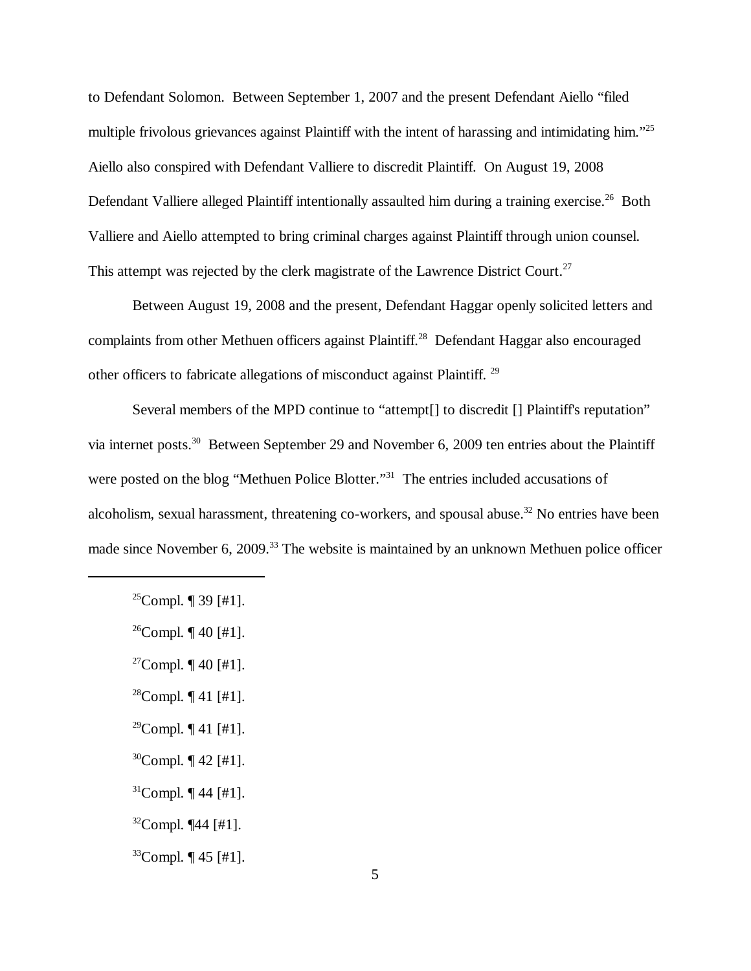to Defendant Solomon. Between September 1, 2007 and the present Defendant Aiello "filed multiple frivolous grievances against Plaintiff with the intent of harassing and intimidating him."<sup>25</sup> Aiello also conspired with Defendant Valliere to discredit Plaintiff. On August 19, 2008 Defendant Valliere alleged Plaintiff intentionally assaulted him during a training exercise.<sup>26</sup> Both Valliere and Aiello attempted to bring criminal charges against Plaintiff through union counsel. This attempt was rejected by the clerk magistrate of the Lawrence District Court.<sup>27</sup>

Between August 19, 2008 and the present, Defendant Haggar openly solicited letters and complaints from other Methuen officers against Plaintiff.<sup>28</sup> Defendant Haggar also encouraged other officers to fabricate allegations of misconduct against Plaintiff. 29

Several members of the MPD continue to "attempt<sup>[]</sup> to discredit <sup>[]</sup> Plaintiff's reputation" via internet posts.30 Between September 29 and November 6, 2009 ten entries about the Plaintiff were posted on the blog "Methuen Police Blotter."<sup>31</sup> The entries included accusations of alcoholism, sexual harassment, threatening co-workers, and spousal abuse.<sup>32</sup> No entries have been made since November 6, 2009.<sup>33</sup> The website is maintained by an unknown Methuen police officer

- <sup>28</sup>Compl.  $\P$  41 [#1].
- <sup>29</sup>Compl.  $\P$  41 [#1].
- $30$ Compl.  $\P$  42 [#1].
- $31$ Compl.  $\P$  44 [#1].
- $32$ Compl.  $\P$ 44 [#1].
- $33$ Compl.  $\P$  45 [#1].

<sup>&</sup>lt;sup>25</sup>Compl.  $\P$  39 [#1].

 $26$ Compl.  $\P$  40 [#1].

<sup>&</sup>lt;sup>27</sup>Compl.  $\P$  40 [#1].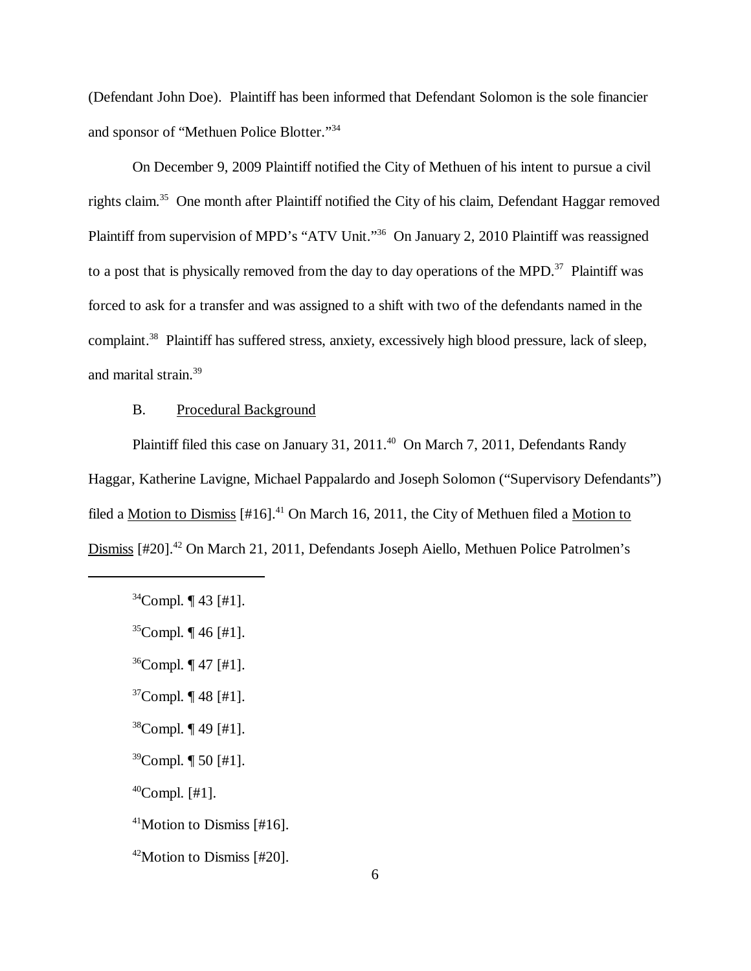(Defendant John Doe). Plaintiff has been informed that Defendant Solomon is the sole financier and sponsor of "Methuen Police Blotter."34

On December 9, 2009 Plaintiff notified the City of Methuen of his intent to pursue a civil rights claim.35 One month after Plaintiff notified the City of his claim, Defendant Haggar removed Plaintiff from supervision of MPD's "ATV Unit."<sup>36</sup> On January 2, 2010 Plaintiff was reassigned to a post that is physically removed from the day to day operations of the MPD. $37$  Plaintiff was forced to ask for a transfer and was assigned to a shift with two of the defendants named in the complaint.<sup>38</sup> Plaintiff has suffered stress, anxiety, excessively high blood pressure, lack of sleep, and marital strain.39

### B. Procedural Background

Plaintiff filed this case on January 31, 2011.<sup>40</sup> On March 7, 2011, Defendants Randy Haggar, Katherine Lavigne, Michael Pappalardo and Joseph Solomon ("Supervisory Defendants") filed a Motion to Dismiss  $[#16]$ .<sup>41</sup> On March 16, 2011, the City of Methuen filed a Motion to Dismiss [#20].<sup>42</sup> On March 21, 2011, Defendants Joseph Aiello, Methuen Police Patrolmen's

- $37$ Compl.  $\P$  48 [#1].
- $38$ Compl.  $\P$  49 [#1].
- $39$ Compl.  $\P$  50 [#1].
- $^{40}$ Compl. [#1].

 $42$ Motion to Dismiss [#20].

 $34$ Compl.  $\P$  43 [#1].

 $35$ Compl.  $\P$  46 [#1].

 $36$ Compl.  $\P$  47 [#1].

<sup>41</sup>Motion to Dismiss [#16].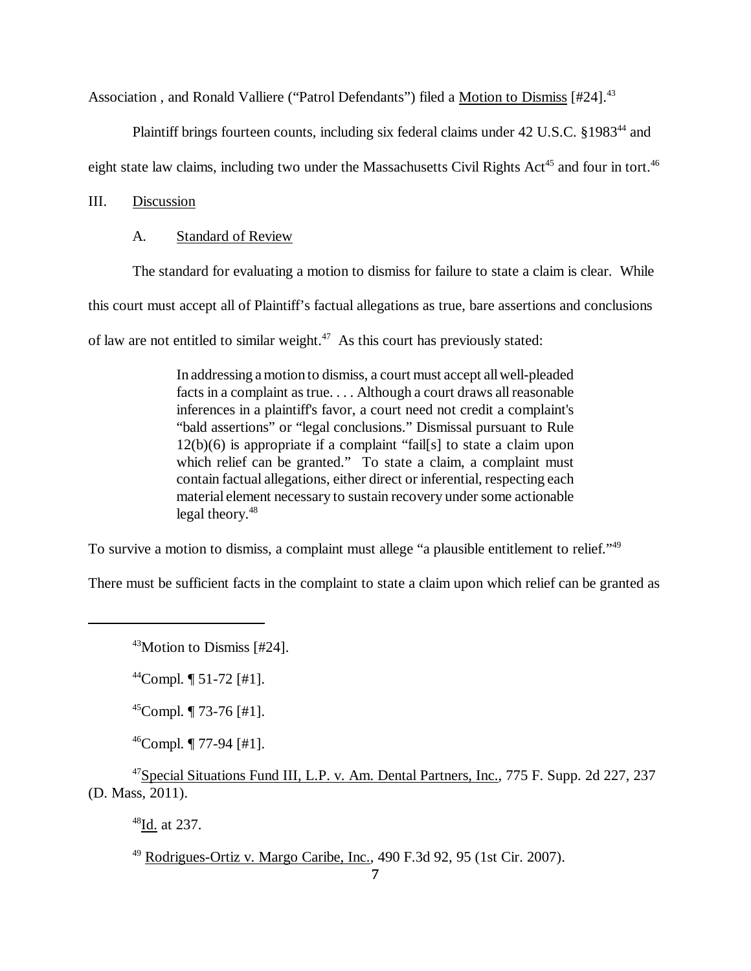Association, and Ronald Valliere ("Patrol Defendants") filed a Motion to Dismiss [#24].<sup>43</sup>

Plaintiff brings fourteen counts, including six federal claims under 42 U.S.C. §1983<sup>44</sup> and

eight state law claims, including two under the Massachusetts Civil Rights Act<sup>45</sup> and four in tort.<sup>46</sup>

## III. Discussion

### A. Standard of Review

The standard for evaluating a motion to dismiss for failure to state a claim is clear. While

this court must accept all of Plaintiff's factual allegations as true, bare assertions and conclusions

of law are not entitled to similar weight.<sup>47</sup> As this court has previously stated:

In addressing a motion to dismiss, a court must accept all well-pleaded facts in a complaint as true. . . . Although a court draws all reasonable inferences in a plaintiff's favor, a court need not credit a complaint's "bald assertions" or "legal conclusions." Dismissal pursuant to Rule 12(b)(6) is appropriate if a complaint "fail[s] to state a claim upon which relief can be granted." To state a claim, a complaint must contain factual allegations, either direct or inferential, respecting each material element necessary to sustain recovery under some actionable legal theory. $48$ 

To survive a motion to dismiss, a complaint must allege "a plausible entitlement to relief."<sup>49</sup>

There must be sufficient facts in the complaint to state a claim upon which relief can be granted as

 $^{46}$ Compl.  $\P$  77-94 [#1].

<sup>47</sup>Special Situations Fund III, L.P. v. Am. Dental Partners, Inc., 775 F. Supp. 2d 227, 237 (D. Mass, 2011).

48Id. at 237.

 $49$  Rodrigues-Ortiz v. Margo Caribe, Inc., 490 F.3d 92, 95 (1st Cir. 2007).

<sup>43</sup>Motion to Dismiss [#24].

 $^{44}$ Compl.  $\P$  51-72 [#1].

 $45$ Compl.  $\P$  73-76 [#1].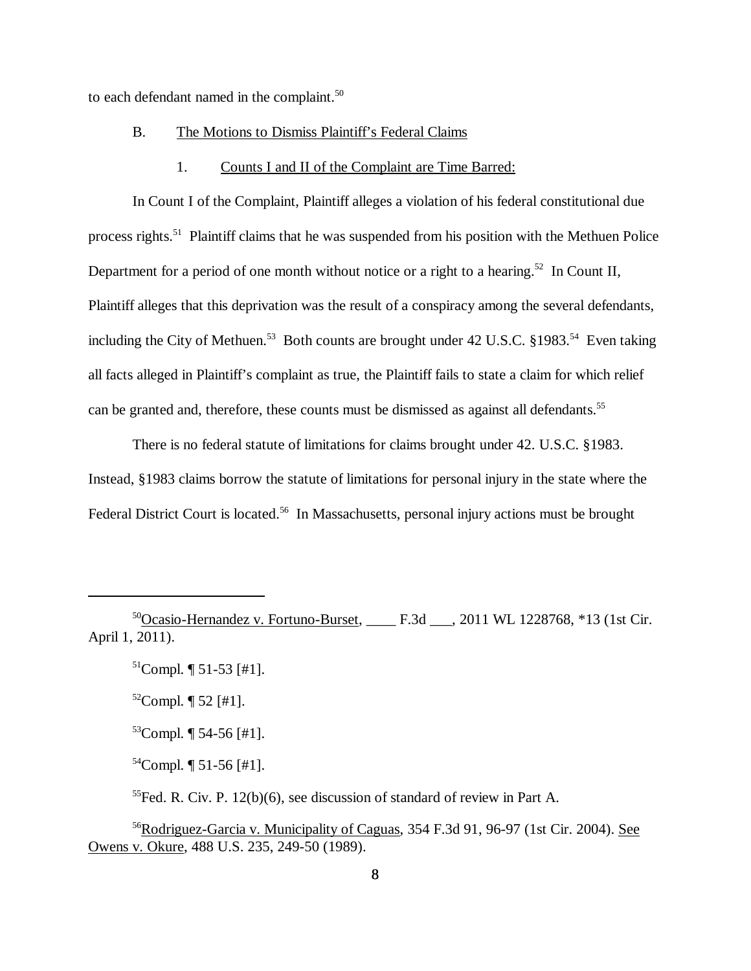to each defendant named in the complaint.<sup>50</sup>

#### B. The Motions to Dismiss Plaintiff's Federal Claims

#### 1. Counts I and II of the Complaint are Time Barred:

In Count I of the Complaint, Plaintiff alleges a violation of his federal constitutional due process rights.<sup>51</sup> Plaintiff claims that he was suspended from his position with the Methuen Police Department for a period of one month without notice or a right to a hearing.<sup>52</sup> In Count II, Plaintiff alleges that this deprivation was the result of a conspiracy among the several defendants, including the City of Methuen.<sup>53</sup> Both counts are brought under 42 U.S.C. §1983.<sup>54</sup> Even taking all facts alleged in Plaintiff's complaint as true, the Plaintiff fails to state a claim for which relief can be granted and, therefore, these counts must be dismissed as against all defendants.<sup>55</sup>

There is no federal statute of limitations for claims brought under 42. U.S.C. §1983. Instead, §1983 claims borrow the statute of limitations for personal injury in the state where the Federal District Court is located.<sup>56</sup> In Massachusetts, personal injury actions must be brought

50Ocasio-Hernandez v. Fortuno-Burset, \_\_\_\_ F.3d \_\_\_, 2011 WL 1228768, \*13 (1st Cir. April 1, 2011).

 $51$ Compl.  $\P$  51-53 [#1].

 $52$ Compl.  $\P$  52 [#1].

 $53$ Compl.  $\P$  54-56 [#1].

 $54$ Compl.  $\P$  51-56 [#1].

 $<sup>55</sup>$  Fed. R. Civ. P. 12(b)(6), see discussion of standard of review in Part A.</sup>

56Rodriguez-Garcia v. Municipality of Caguas, 354 F.3d 91, 96-97 (1st Cir. 2004). See Owens v. Okure, 488 U.S. 235, 249-50 (1989).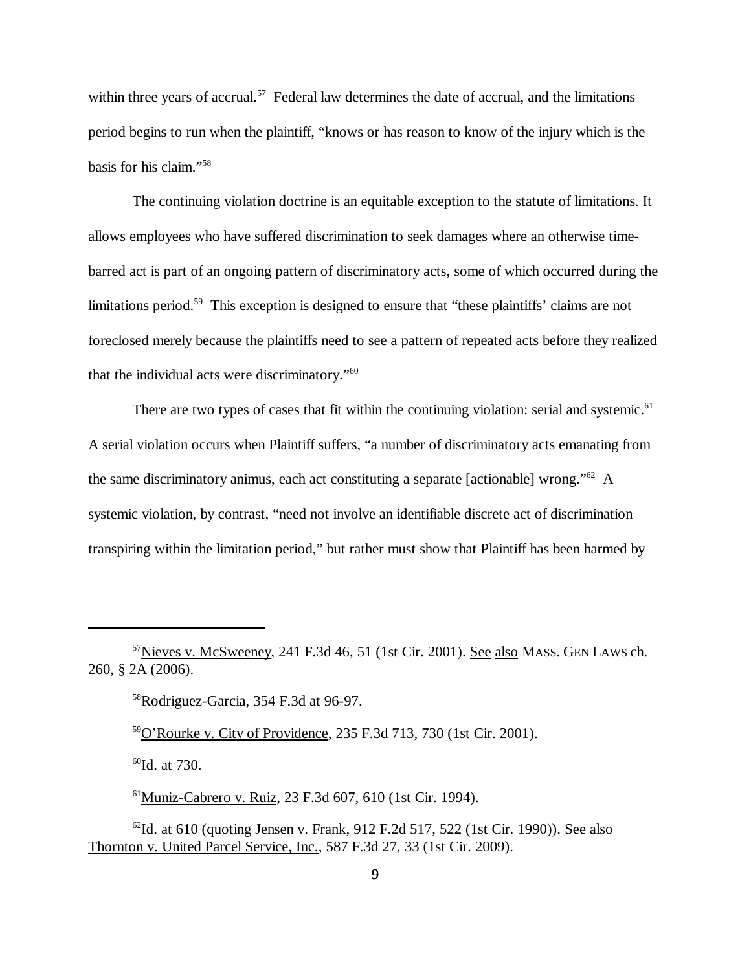within three years of accrual.<sup>57</sup> Federal law determines the date of accrual, and the limitations period begins to run when the plaintiff, "knows or has reason to know of the injury which is the basis for his claim."58

The continuing violation doctrine is an equitable exception to the statute of limitations. It allows employees who have suffered discrimination to seek damages where an otherwise timebarred act is part of an ongoing pattern of discriminatory acts, some of which occurred during the limitations period.<sup>59</sup> This exception is designed to ensure that "these plaintiffs' claims are not foreclosed merely because the plaintiffs need to see a pattern of repeated acts before they realized that the individual acts were discriminatory."60

There are two types of cases that fit within the continuing violation: serial and systemic.<sup>61</sup> A serial violation occurs when Plaintiff suffers, "a number of discriminatory acts emanating from the same discriminatory animus, each act constituting a separate [actionable] wrong."62 A systemic violation, by contrast, "need not involve an identifiable discrete act of discrimination transpiring within the limitation period," but rather must show that Plaintiff has been harmed by

 $60$ Id. at 730.

61Muniz-Cabrero v. Ruiz, 23 F.3d 607, 610 (1st Cir. 1994).

<sup>57</sup>Nieves v. McSweeney, 241 F.3d 46, 51 (1st Cir. 2001). See also MASS. GEN LAWS ch. 260, § 2A (2006).

<sup>58</sup>Rodriguez-Garcia, 354 F.3d at 96-97.

<sup>59</sup>O'Rourke v. City of Providence, 235 F.3d 713, 730 (1st Cir. 2001).

 $^{62}$ Id. at 610 (quoting Jensen v. Frank, 912 F.2d 517, 522 (1st Cir. 1990)). See also Thornton v. United Parcel Service, Inc., 587 F.3d 27, 33 (1st Cir. 2009).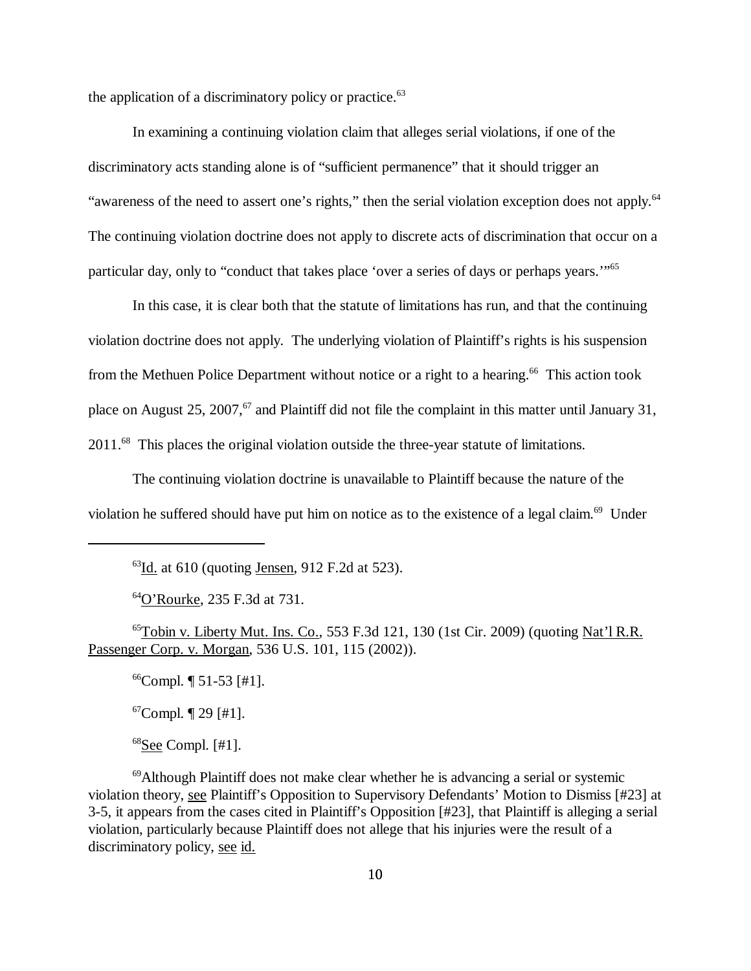the application of a discriminatory policy or practice. $63$ 

In examining a continuing violation claim that alleges serial violations, if one of the discriminatory acts standing alone is of "sufficient permanence" that it should trigger an "awareness of the need to assert one's rights," then the serial violation exception does not apply.<sup>64</sup> The continuing violation doctrine does not apply to discrete acts of discrimination that occur on a particular day, only to "conduct that takes place 'over a series of days or perhaps years.'"65

In this case, it is clear both that the statute of limitations has run, and that the continuing violation doctrine does not apply. The underlying violation of Plaintiff's rights is his suspension from the Methuen Police Department without notice or a right to a hearing.<sup>66</sup> This action took place on August 25, 2007,<sup>67</sup> and Plaintiff did not file the complaint in this matter until January 31, 2011.68 This places the original violation outside the three-year statute of limitations.

The continuing violation doctrine is unavailable to Plaintiff because the nature of the violation he suffered should have put him on notice as to the existence of a legal claim.<sup>69</sup> Under

64O'Rourke, 235 F.3d at 731.

 $^{65}$ Tobin v. Liberty Mut. Ins. Co., 553 F.3d 121, 130 (1st Cir. 2009) (quoting Nat'l R.R. Passenger Corp. v. Morgan, 536 U.S. 101, 115 (2002)).

 $^{66}$ Compl.  $\P$  51-53 [#1].

 $67$ Compl.  $\P$  29 [#1].

 $68$ See Compl. [#1].

69Although Plaintiff does not make clear whether he is advancing a serial or systemic violation theory, see Plaintiff's Opposition to Supervisory Defendants' Motion to Dismiss [#23] at 3-5, it appears from the cases cited in Plaintiff's Opposition [#23], that Plaintiff is alleging a serial violation, particularly because Plaintiff does not allege that his injuries were the result of a discriminatory policy, see id.

 $^{63}$ <u>Id.</u> at 610 (quoting <u>Jensen</u>, 912 F.2d at 523).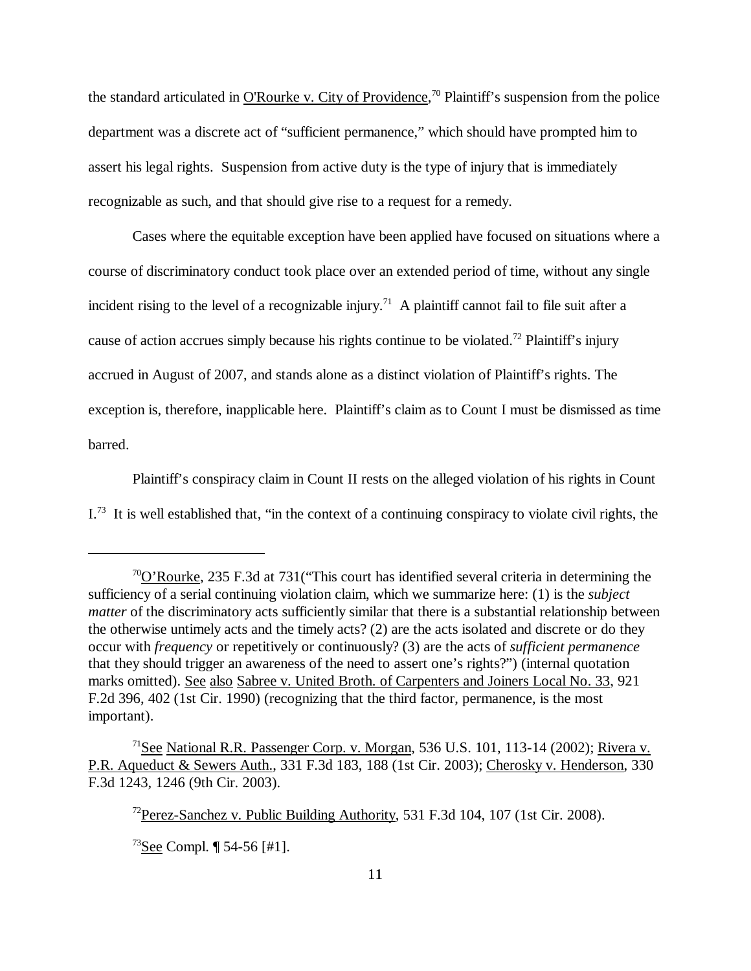the standard articulated in O'Rourke v. City of Providence,<sup>70</sup> Plaintiff's suspension from the police department was a discrete act of "sufficient permanence," which should have prompted him to assert his legal rights. Suspension from active duty is the type of injury that is immediately recognizable as such, and that should give rise to a request for a remedy.

Cases where the equitable exception have been applied have focused on situations where a course of discriminatory conduct took place over an extended period of time, without any single incident rising to the level of a recognizable injury.<sup>71</sup> A plaintiff cannot fail to file suit after a cause of action accrues simply because his rights continue to be violated.<sup>72</sup> Plaintiff's injury accrued in August of 2007, and stands alone as a distinct violation of Plaintiff's rights. The exception is, therefore, inapplicable here. Plaintiff's claim as to Count I must be dismissed as time barred.

Plaintiff's conspiracy claim in Count II rests on the alleged violation of his rights in Count  $I^{73}$  It is well established that, "in the context of a continuing conspiracy to violate civil rights, the

<sup>70</sup>O'Rourke, 235 F.3d at 731("This court has identified several criteria in determining the sufficiency of a serial continuing violation claim, which we summarize here: (1) is the *subject matter* of the discriminatory acts sufficiently similar that there is a substantial relationship between the otherwise untimely acts and the timely acts? (2) are the acts isolated and discrete or do they occur with *frequency* or repetitively or continuously? (3) are the acts of *sufficient permanence* that they should trigger an awareness of the need to assert one's rights?") (internal quotation marks omitted). See also Sabree v. United Broth. of Carpenters and Joiners Local No. 33, 921 F.2d 396, 402 (1st Cir. 1990) (recognizing that the third factor, permanence, is the most important).

<sup>&</sup>lt;sup>71</sup>See National R.R. Passenger Corp. v. Morgan, 536 U.S. 101, 113-14 (2002); Rivera v. P.R. Aqueduct & Sewers Auth., 331 F.3d 183, 188 (1st Cir. 2003); Cherosky v. Henderson, 330 F.3d 1243, 1246 (9th Cir. 2003).

<sup>72</sup>Perez-Sanchez v. Public Building Authority, 531 F.3d 104, 107 (1st Cir. 2008).

 $73$ See Compl. | 54-56 [#1].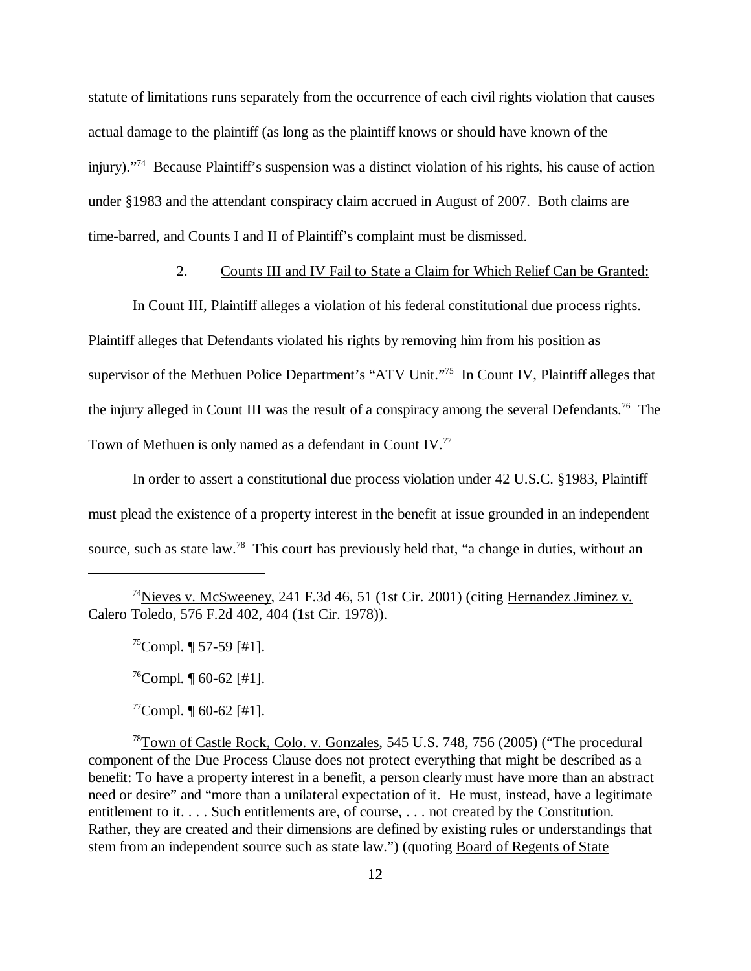statute of limitations runs separately from the occurrence of each civil rights violation that causes actual damage to the plaintiff (as long as the plaintiff knows or should have known of the injury)."74 Because Plaintiff's suspension was a distinct violation of his rights, his cause of action under §1983 and the attendant conspiracy claim accrued in August of 2007. Both claims are time-barred, and Counts I and II of Plaintiff's complaint must be dismissed.

## 2. Counts III and IV Fail to State a Claim for Which Relief Can be Granted:

In Count III, Plaintiff alleges a violation of his federal constitutional due process rights. Plaintiff alleges that Defendants violated his rights by removing him from his position as supervisor of the Methuen Police Department's "ATV Unit."75 In Count IV, Plaintiff alleges that the injury alleged in Count III was the result of a conspiracy among the several Defendants.<sup>76</sup> The Town of Methuen is only named as a defendant in Count IV.77

In order to assert a constitutional due process violation under 42 U.S.C. §1983, Plaintiff must plead the existence of a property interest in the benefit at issue grounded in an independent source, such as state law.<sup>78</sup> This court has previously held that, "a change in duties, without an

 $^{75}$ Compl.  $\P$  57-59 [#1].

 $^{76}$ Compl.  $\P$  60-62 [#1].

 $^{77}$ Compl.  $\P$  60-62 [#1].

78Town of Castle Rock, Colo. v. Gonzales, 545 U.S. 748, 756 (2005) ("The procedural component of the Due Process Clause does not protect everything that might be described as a benefit: To have a property interest in a benefit, a person clearly must have more than an abstract need or desire" and "more than a unilateral expectation of it. He must, instead, have a legitimate entitlement to it. . . . Such entitlements are, of course, . . . not created by the Constitution. Rather, they are created and their dimensions are defined by existing rules or understandings that stem from an independent source such as state law.") (quoting Board of Regents of State

<sup>74</sup>Nieves v. McSweeney, 241 F.3d 46, 51 (1st Cir. 2001) (citing Hernandez Jiminez v. Calero Toledo, 576 F.2d 402, 404 (1st Cir. 1978)).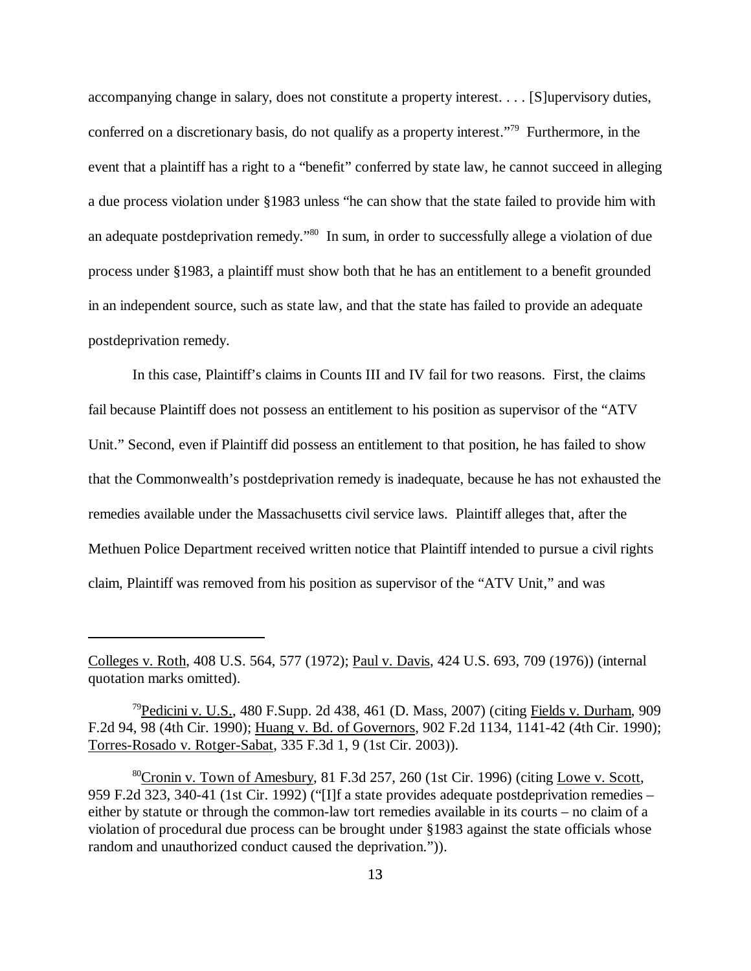accompanying change in salary, does not constitute a property interest. . . . [S]upervisory duties, conferred on a discretionary basis, do not qualify as a property interest."79 Furthermore, in the event that a plaintiff has a right to a "benefit" conferred by state law, he cannot succeed in alleging a due process violation under §1983 unless "he can show that the state failed to provide him with an adequate postdeprivation remedy."80 In sum, in order to successfully allege a violation of due process under §1983, a plaintiff must show both that he has an entitlement to a benefit grounded in an independent source, such as state law, and that the state has failed to provide an adequate postdeprivation remedy.

In this case, Plaintiff's claims in Counts III and IV fail for two reasons. First, the claims fail because Plaintiff does not possess an entitlement to his position as supervisor of the "ATV Unit." Second, even if Plaintiff did possess an entitlement to that position, he has failed to show that the Commonwealth's postdeprivation remedy is inadequate, because he has not exhausted the remedies available under the Massachusetts civil service laws. Plaintiff alleges that, after the Methuen Police Department received written notice that Plaintiff intended to pursue a civil rights claim, Plaintiff was removed from his position as supervisor of the "ATV Unit," and was

Colleges v. Roth, 408 U.S. 564, 577 (1972); Paul v. Davis, 424 U.S. 693, 709 (1976)) (internal quotation marks omitted).

<sup>&</sup>lt;sup>79</sup>Pedicini v. U.S., 480 F.Supp. 2d 438, 461 (D. Mass, 2007) (citing Fields v. Durham, 909 F.2d 94, 98 (4th Cir. 1990); Huang v. Bd. of Governors, 902 F.2d 1134, 1141-42 (4th Cir. 1990); Torres-Rosado v. Rotger-Sabat, 335 F.3d 1, 9 (1st Cir. 2003)).

 $80$ Cronin v. Town of Amesbury, 81 F.3d 257, 260 (1st Cir. 1996) (citing Lowe v. Scott, 959 F.2d 323, 340-41 (1st Cir. 1992) ("[I]f a state provides adequate postdeprivation remedies – either by statute or through the common-law tort remedies available in its courts – no claim of a violation of procedural due process can be brought under §1983 against the state officials whose random and unauthorized conduct caused the deprivation.")).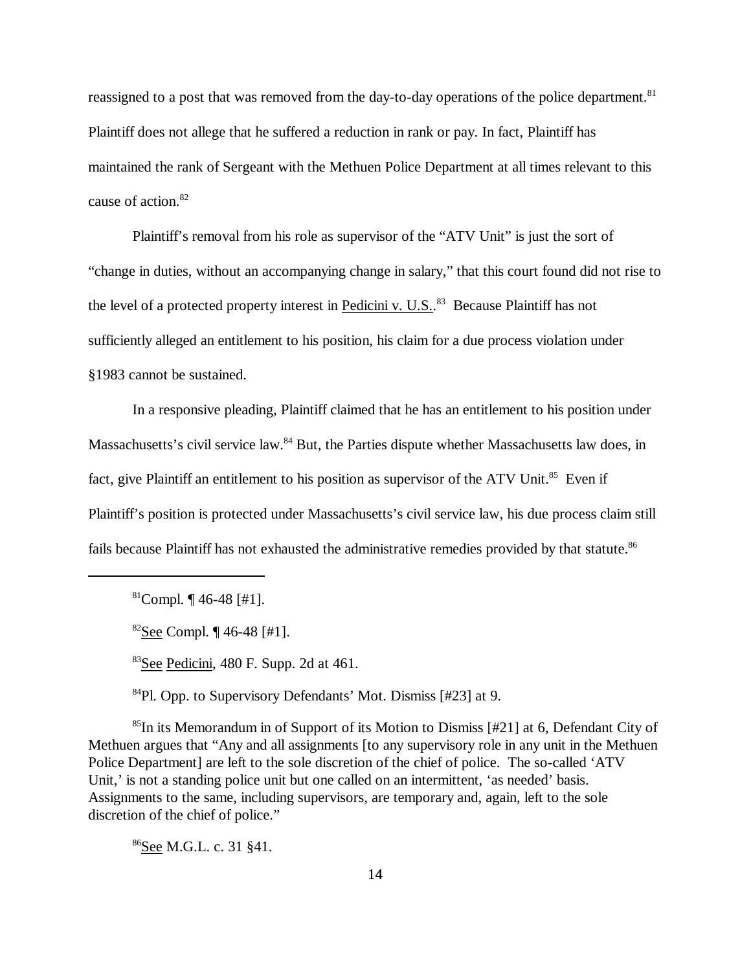reassigned to a post that was removed from the day-to-day operations of the police department.<sup>81</sup> Plaintiff does not allege that he suffered a reduction in rank or pay. In fact, Plaintiff has maintained the rank of Sergeant with the Methuen Police Department at all times relevant to this cause of action.82

Plaintiff's removal from his role as supervisor of the "ATV Unit" is just the sort of "change in duties, without an accompanying change in salary," that this court found did not rise to the level of a protected property interest in Pedicini v. U.S..<sup>83</sup> Because Plaintiff has not sufficiently alleged an entitlement to his position, his claim for a due process violation under §1983 cannot be sustained.

 In a responsive pleading, Plaintiff claimed that he has an entitlement to his position under Massachusetts's civil service law.<sup>84</sup> But, the Parties dispute whether Massachusetts law does, in fact, give Plaintiff an entitlement to his position as supervisor of the ATV Unit.<sup>85</sup> Even if Plaintiff's position is protected under Massachusetts's civil service law, his due process claim still fails because Plaintiff has not exhausted the administrative remedies provided by that statute.<sup>86</sup>

 $81$ Compl.  $\P$  46-48 [#1].

 $82$ See Compl. ¶ 46-48 [#1].

83See Pedicini, 480 F. Supp. 2d at 461.

84Pl. Opp. to Supervisory Defendants' Mot. Dismiss [#23] at 9.

<sup>85</sup>In its Memorandum in of Support of its Motion to Dismiss [#21] at 6, Defendant City of Methuen argues that "Any and all assignments [to any supervisory role in any unit in the Methuen Police Department] are left to the sole discretion of the chief of police. The so-called 'ATV Unit,' is not a standing police unit but one called on an intermittent, 'as needed' basis. Assignments to the same, including supervisors, are temporary and, again, left to the sole discretion of the chief of police."

86See M.G.L. c. 31 §41.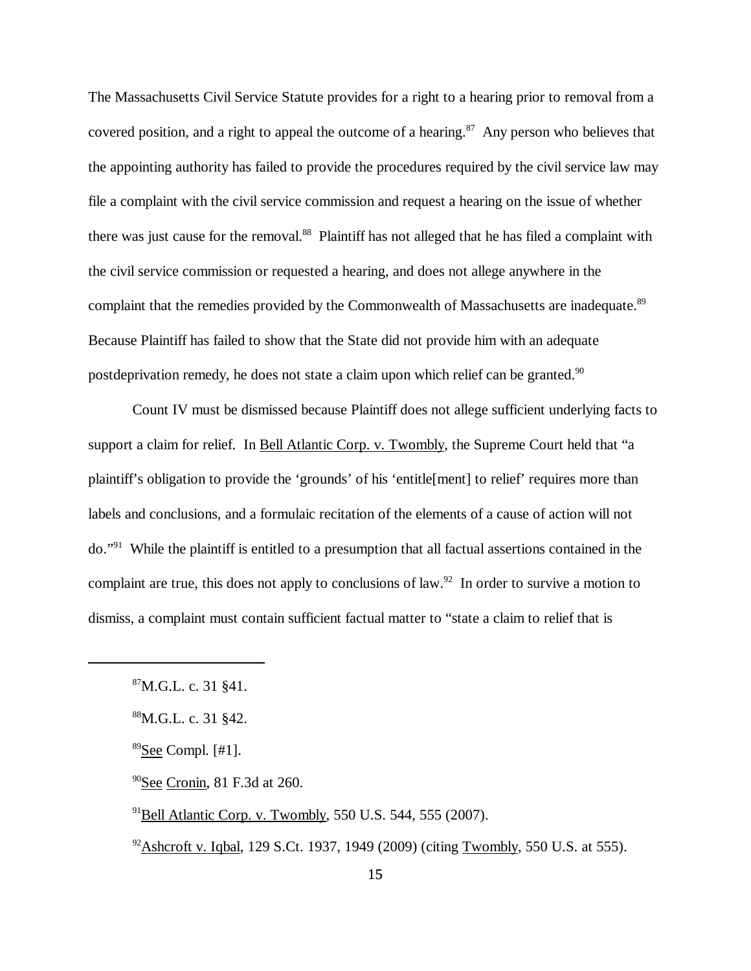The Massachusetts Civil Service Statute provides for a right to a hearing prior to removal from a covered position, and a right to appeal the outcome of a hearing. $87$  Any person who believes that the appointing authority has failed to provide the procedures required by the civil service law may file a complaint with the civil service commission and request a hearing on the issue of whether there was just cause for the removal.<sup>88</sup> Plaintiff has not alleged that he has filed a complaint with the civil service commission or requested a hearing, and does not allege anywhere in the complaint that the remedies provided by the Commonwealth of Massachusetts are inadequate.<sup>89</sup> Because Plaintiff has failed to show that the State did not provide him with an adequate postdeprivation remedy, he does not state a claim upon which relief can be granted.<sup>90</sup>

Count IV must be dismissed because Plaintiff does not allege sufficient underlying facts to support a claim for relief. In Bell Atlantic Corp. v. Twombly, the Supreme Court held that "a plaintiff's obligation to provide the 'grounds' of his 'entitle[ment] to relief' requires more than labels and conclusions, and a formulaic recitation of the elements of a cause of action will not do."91 While the plaintiff is entitled to a presumption that all factual assertions contained in the complaint are true, this does not apply to conclusions of law.<sup>92</sup> In order to survive a motion to dismiss, a complaint must contain sufficient factual matter to "state a claim to relief that is

- 90See Cronin, 81 F.3d at 260.
- $91$ Bell Atlantic Corp. v. Twombly, 550 U.S. 544, 555 (2007).
- $92$ Ashcroft v. Iqbal, 129 S.Ct. 1937, 1949 (2009) (citing Twombly, 550 U.S. at 555).

<sup>87</sup>M.G.L. c. 31 §41.

<sup>88</sup>M.G.L. c. 31 §42.

 $89$ See Compl. [#1].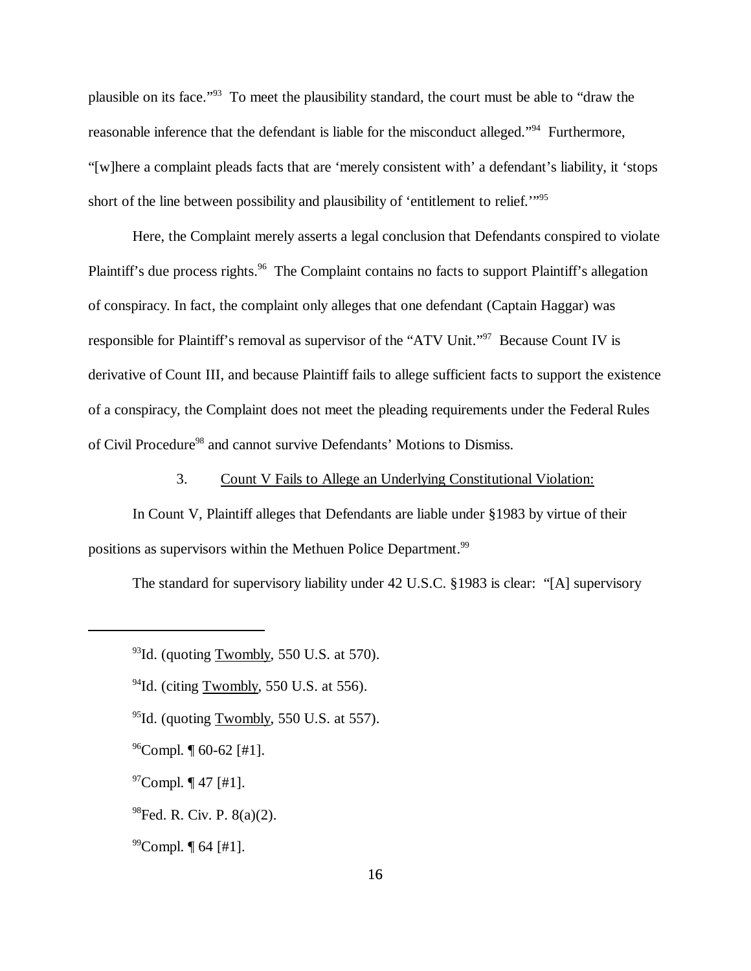plausible on its face."93 To meet the plausibility standard, the court must be able to "draw the reasonable inference that the defendant is liable for the misconduct alleged."94 Furthermore, "[w]here a complaint pleads facts that are 'merely consistent with' a defendant's liability, it 'stops short of the line between possibility and plausibility of 'entitlement to relief.'"95

Here, the Complaint merely asserts a legal conclusion that Defendants conspired to violate Plaintiff's due process rights.<sup>96</sup> The Complaint contains no facts to support Plaintiff's allegation of conspiracy. In fact, the complaint only alleges that one defendant (Captain Haggar) was responsible for Plaintiff's removal as supervisor of the "ATV Unit."97 Because Count IV is derivative of Count III, and because Plaintiff fails to allege sufficient facts to support the existence of a conspiracy, the Complaint does not meet the pleading requirements under the Federal Rules of Civil Procedure<sup>98</sup> and cannot survive Defendants' Motions to Dismiss.

3. Count V Fails to Allege an Underlying Constitutional Violation:

In Count V, Plaintiff alleges that Defendants are liable under §1983 by virtue of their positions as supervisors within the Methuen Police Department.<sup>99</sup>

The standard for supervisory liability under 42 U.S.C. §1983 is clear: "[A] supervisory

- $94$ Id. (citing Twombly, 550 U.S. at 556).
- $95$ Id. (quoting Twombly, 550 U.S. at 557).
- $^{96}$ Compl.  $[60-62]$  [#1].
- $97$ Compl.  $\P$  47 [#1].
- $^{98}$ Fed. R. Civ. P.  $8(a)(2)$ .
- $^{99}$ Compl.  $\P$  64 [#1].

 $93$ Id. (quoting Twombly, 550 U.S. at 570).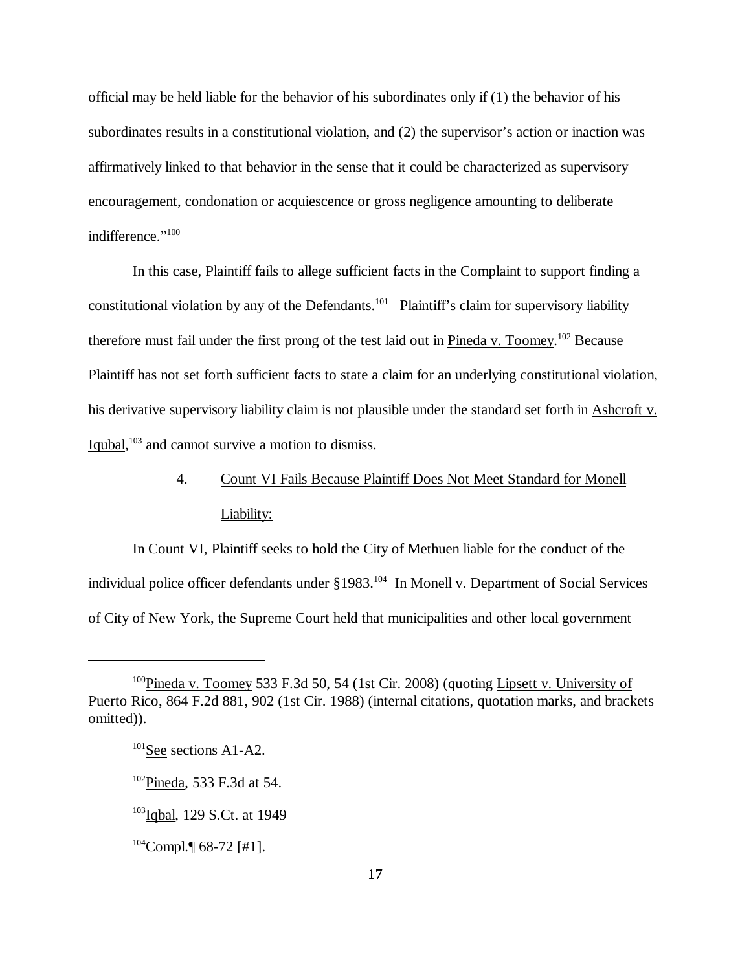official may be held liable for the behavior of his subordinates only if (1) the behavior of his subordinates results in a constitutional violation, and (2) the supervisor's action or inaction was affirmatively linked to that behavior in the sense that it could be characterized as supervisory encouragement, condonation or acquiescence or gross negligence amounting to deliberate indifference."<sup>100</sup>

In this case, Plaintiff fails to allege sufficient facts in the Complaint to support finding a constitutional violation by any of the Defendants.<sup>101</sup> Plaintiff's claim for supervisory liability therefore must fail under the first prong of the test laid out in Pineda v. Toomey.<sup>102</sup> Because Plaintiff has not set forth sufficient facts to state a claim for an underlying constitutional violation, his derivative supervisory liability claim is not plausible under the standard set forth in Ashcroft v. Iqubal,<sup>103</sup> and cannot survive a motion to dismiss.

# 4. Count VI Fails Because Plaintiff Does Not Meet Standard for Monell Liability:

In Count VI, Plaintiff seeks to hold the City of Methuen liable for the conduct of the individual police officer defendants under §1983.<sup>104</sup> In Monell v. Department of Social Services of City of New York, the Supreme Court held that municipalities and other local government

<sup>100</sup>Pineda v. Toomey 533 F.3d 50, 54 (1st Cir. 2008) (quoting Lipsett v. University of Puerto Rico, 864 F.2d 881, 902 (1st Cir. 1988) (internal citations, quotation marks, and brackets omitted)).

<sup>&</sup>lt;sup>101</sup>See sections A1-A2.

<sup>&</sup>lt;sup>102</sup>Pineda, 533 F.3d at 54.

<sup>&</sup>lt;sup>103</sup>Iqbal, 129 S.Ct. at 1949

 $104$ Compl. [68-72 [#1].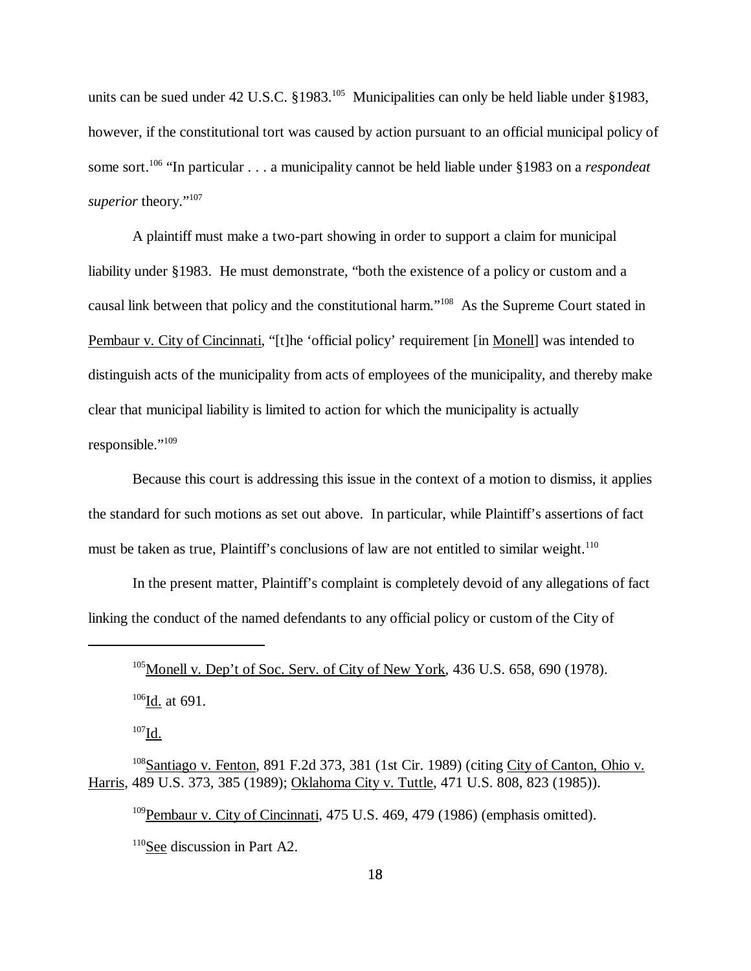units can be sued under 42 U.S.C.  $\S 1983$ .<sup>105</sup> Municipalities can only be held liable under §1983, however, if the constitutional tort was caused by action pursuant to an official municipal policy of some sort.106 "In particular . . . a municipality cannot be held liable under §1983 on a *respondeat* superior theory."<sup>107</sup>

A plaintiff must make a two-part showing in order to support a claim for municipal liability under §1983. He must demonstrate, "both the existence of a policy or custom and a causal link between that policy and the constitutional harm."108 As the Supreme Court stated in Pembaur v. City of Cincinnati, "[t]he 'official policy' requirement [in Monell] was intended to distinguish acts of the municipality from acts of employees of the municipality, and thereby make clear that municipal liability is limited to action for which the municipality is actually responsible."<sup>109</sup>

Because this court is addressing this issue in the context of a motion to dismiss, it applies the standard for such motions as set out above. In particular, while Plaintiff's assertions of fact must be taken as true, Plaintiff's conclusions of law are not entitled to similar weight.<sup>110</sup>

In the present matter, Plaintiff's complaint is completely devoid of any allegations of fact linking the conduct of the named defendants to any official policy or custom of the City of

<sup>109</sup>Pembaur v. City of Cincinnati, 475 U.S. 469, 479 (1986) (emphasis omitted).

110See discussion in Part A2.

 $105$ Monell v. Dep't of Soc. Serv. of City of New York, 436 U.S. 658, 690 (1978).  $106$ Id. at 691.

 $^{107}$ Id.

<sup>&</sup>lt;sup>108</sup>Santiago v. Fenton, 891 F.2d 373, 381 (1st Cir. 1989) (citing City of Canton, Ohio v. Harris, 489 U.S. 373, 385 (1989); Oklahoma City v. Tuttle, 471 U.S. 808, 823 (1985)).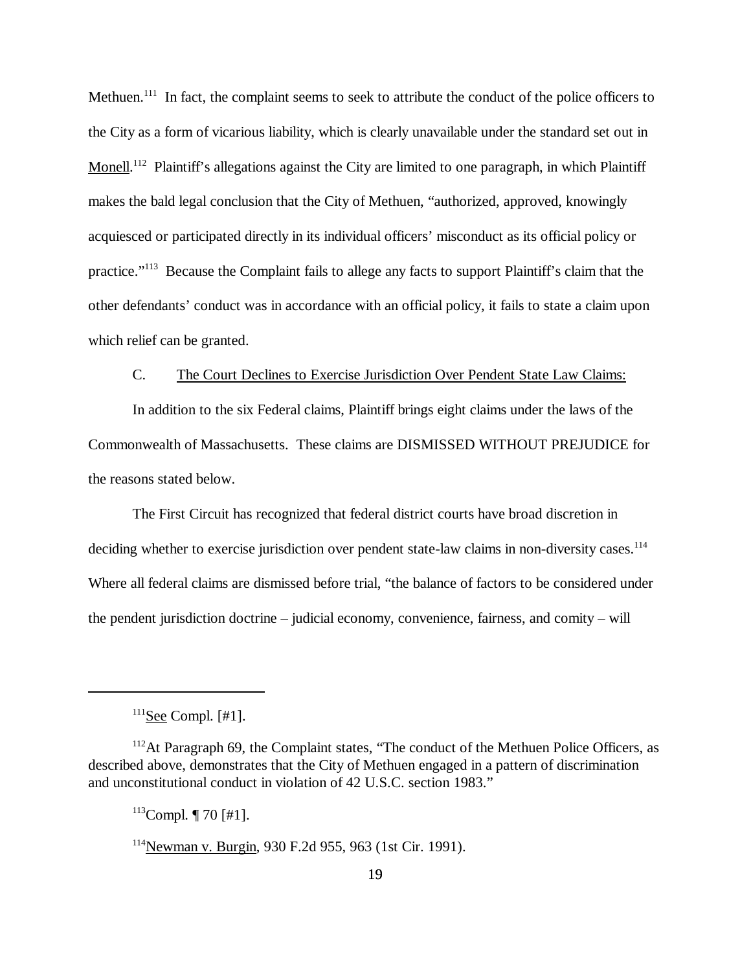Methuen.<sup>111</sup> In fact, the complaint seems to seek to attribute the conduct of the police officers to the City as a form of vicarious liability, which is clearly unavailable under the standard set out in Monell.<sup>112</sup> Plaintiff's allegations against the City are limited to one paragraph, in which Plaintiff makes the bald legal conclusion that the City of Methuen, "authorized, approved, knowingly acquiesced or participated directly in its individual officers' misconduct as its official policy or practice."113 Because the Complaint fails to allege any facts to support Plaintiff's claim that the other defendants' conduct was in accordance with an official policy, it fails to state a claim upon which relief can be granted.

## C. The Court Declines to Exercise Jurisdiction Over Pendent State Law Claims:

In addition to the six Federal claims, Plaintiff brings eight claims under the laws of the Commonwealth of Massachusetts. These claims are DISMISSED WITHOUT PREJUDICE for the reasons stated below.

The First Circuit has recognized that federal district courts have broad discretion in deciding whether to exercise jurisdiction over pendent state-law claims in non-diversity cases.<sup>114</sup> Where all federal claims are dismissed before trial, "the balance of factors to be considered under the pendent jurisdiction doctrine – judicial economy, convenience, fairness, and comity – will

 $113$ Compl. | 70 [#1].

 $111$ See Compl. [#1].

<sup>&</sup>lt;sup>112</sup>At Paragraph 69, the Complaint states, "The conduct of the Methuen Police Officers, as described above, demonstrates that the City of Methuen engaged in a pattern of discrimination and unconstitutional conduct in violation of 42 U.S.C. section 1983."

<sup>114</sup>Newman v. Burgin, 930 F.2d 955, 963 (1st Cir. 1991).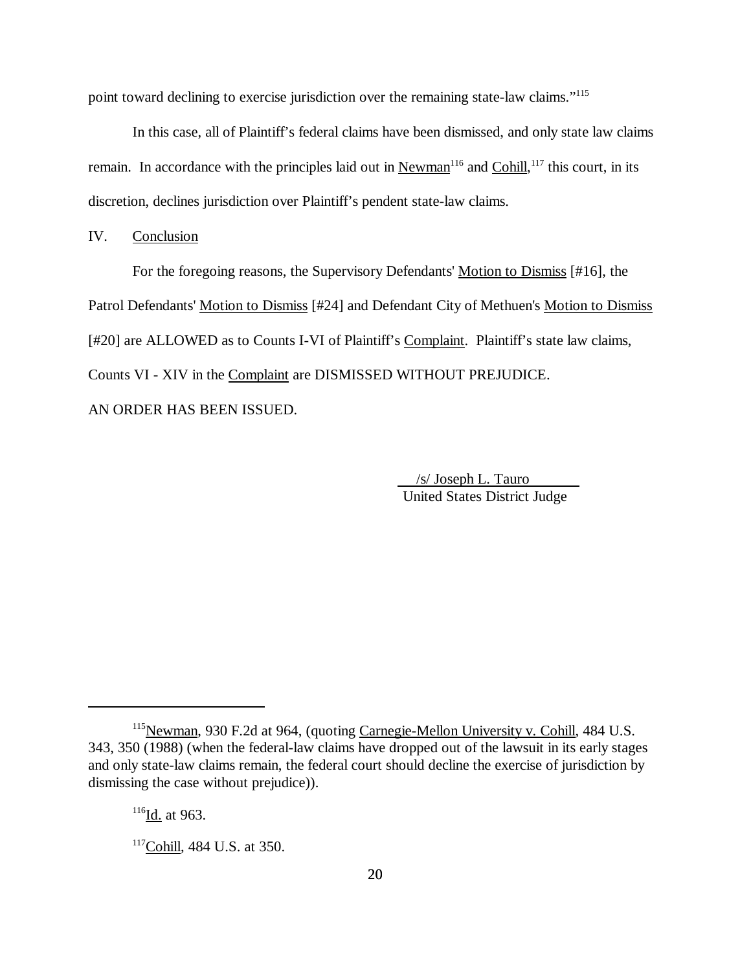point toward declining to exercise jurisdiction over the remaining state-law claims."115

In this case, all of Plaintiff's federal claims have been dismissed, and only state law claims remain. In accordance with the principles laid out in Newman<sup>116</sup> and Cohill, <sup>117</sup> this court, in its discretion, declines jurisdiction over Plaintiff's pendent state-law claims.

IV. Conclusion

For the foregoing reasons, the Supervisory Defendants' Motion to Dismiss [#16], the Patrol Defendants' Motion to Dismiss [#24] and Defendant City of Methuen's Motion to Dismiss [#20] are ALLOWED as to Counts I-VI of Plaintiff's Complaint. Plaintiff's state law claims, Counts VI - XIV in the Complaint are DISMISSED WITHOUT PREJUDICE.

AN ORDER HAS BEEN ISSUED.

 /s/ Joseph L. Tauro United States District Judge

<sup>&</sup>lt;sup>115</sup>Newman, 930 F.2d at 964, (quoting Carnegie-Mellon University v. Cohill, 484 U.S. 343, 350 (1988) (when the federal-law claims have dropped out of the lawsuit in its early stages and only state-law claims remain, the federal court should decline the exercise of jurisdiction by dismissing the case without prejudice)).

 $116$ Id. at 963.

<sup>117</sup>Cohill, 484 U.S. at 350.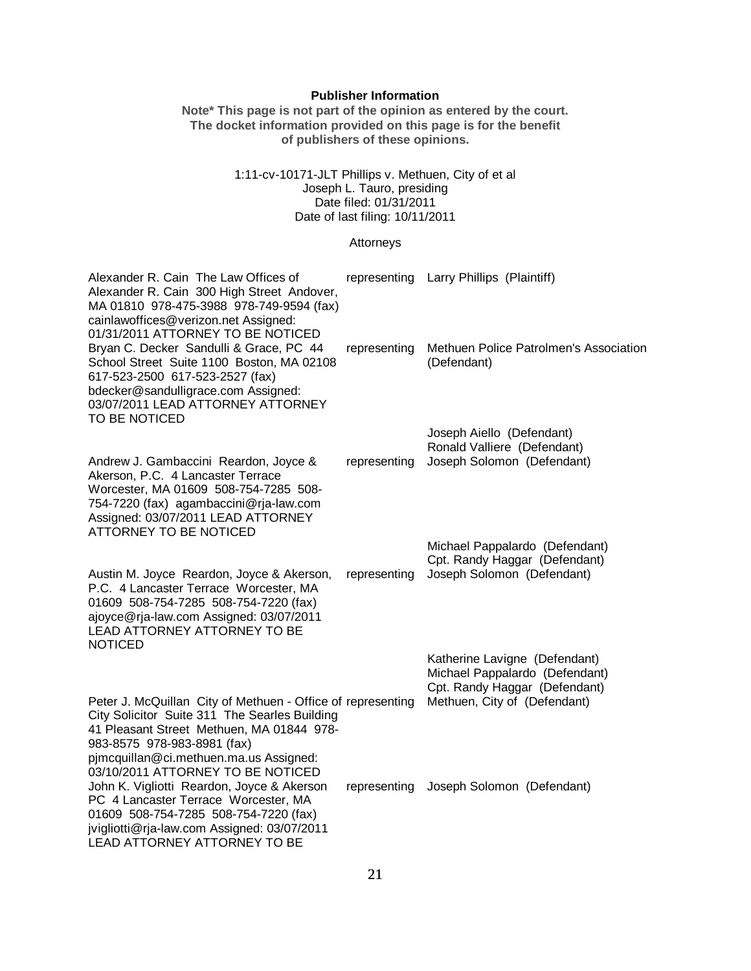### **Publisher Information**

**Note\* This page is not part of the opinion as entered by the court. The docket information provided on this page is for the benefit of publishers of these opinions.**

#### 1:11-cv-10171-JLT Phillips v. Methuen, City of et al Joseph L. Tauro, presiding Date filed: 01/31/2011 Date of last filing: 10/11/2011

#### Attorneys

| Alexander R. Cain The Law Offices of<br>Alexander R. Cain 300 High Street Andover,<br>MA 01810 978-475-3988 978-749-9594 (fax)<br>cainlawoffices@verizon.net Assigned:<br>01/31/2011 ATTORNEY TO BE NOTICED                                     |              | representing Larry Phillips (Plaintiff)                                                          |
|-------------------------------------------------------------------------------------------------------------------------------------------------------------------------------------------------------------------------------------------------|--------------|--------------------------------------------------------------------------------------------------|
| Bryan C. Decker Sandulli & Grace, PC 44<br>School Street Suite 1100 Boston, MA 02108<br>617-523-2500 617-523-2527 (fax)<br>bdecker@sandulligrace.com Assigned:<br>03/07/2011 LEAD ATTORNEY ATTORNEY<br>TO BE NOTICED                            | representing | Methuen Police Patrolmen's Association<br>(Defendant)                                            |
|                                                                                                                                                                                                                                                 |              | Joseph Aiello (Defendant)                                                                        |
| Andrew J. Gambaccini Reardon, Joyce &<br>Akerson, P.C. 4 Lancaster Terrace<br>Worcester, MA 01609 508-754-7285 508-                                                                                                                             | representing | Ronald Valliere (Defendant)<br>Joseph Solomon (Defendant)                                        |
| 754-7220 (fax) agambaccini@rja-law.com<br>Assigned: 03/07/2011 LEAD ATTORNEY<br><b>ATTORNEY TO BE NOTICED</b>                                                                                                                                   |              |                                                                                                  |
|                                                                                                                                                                                                                                                 |              | Michael Pappalardo (Defendant)                                                                   |
| Austin M. Joyce Reardon, Joyce & Akerson,<br>P.C. 4 Lancaster Terrace Worcester, MA<br>01609 508-754-7285 508-754-7220 (fax)<br>ajoyce@rja-law.com Assigned: 03/07/2011<br><b>LEAD ATTORNEY ATTORNEY TO BE</b><br><b>NOTICED</b>                | representing | Cpt. Randy Haggar (Defendant)<br>Joseph Solomon (Defendant)                                      |
|                                                                                                                                                                                                                                                 |              | Katherine Lavigne (Defendant)<br>Michael Pappalardo (Defendant)<br>Cpt. Randy Haggar (Defendant) |
| Peter J. McQuillan City of Methuen - Office of representing<br>City Solicitor Suite 311 The Searles Building<br>41 Pleasant Street Methuen, MA 01844 978-<br>983-8575 978-983-8981 (fax)<br>pjmcquillan@ci.methuen.ma.us Assigned:              |              | Methuen, City of (Defendant)                                                                     |
| 03/10/2011 ATTORNEY TO BE NOTICED<br>John K. Vigliotti Reardon, Joyce & Akerson<br>PC 4 Lancaster Terrace Worcester, MA<br>01609 508-754-7285 508-754-7220 (fax)<br>jvigliotti@rja-law.com Assigned: 03/07/2011<br>LEAD ATTORNEY ATTORNEY TO BE | representing | Joseph Solomon (Defendant)                                                                       |